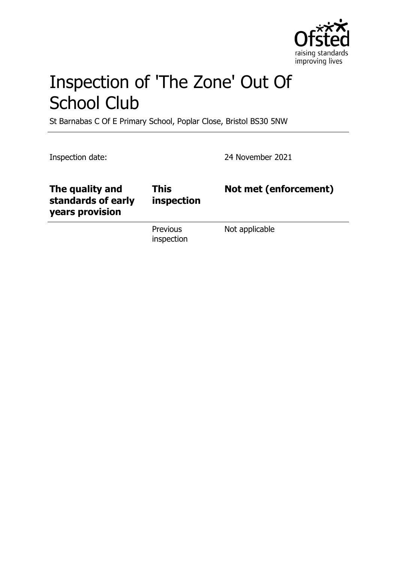

# Inspection of 'The Zone' Out Of School Club

St Barnabas C Of E Primary School, Poplar Close, Bristol BS30 5NW

Inspection date: 24 November 2021

| The quality and<br>standards of early<br>years provision | <b>This</b><br>inspection | Not met (enforcement) |
|----------------------------------------------------------|---------------------------|-----------------------|
|                                                          | Previous<br>inspection    | Not applicable        |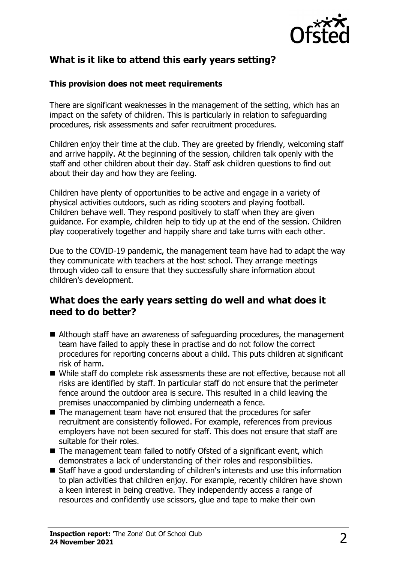

# **What is it like to attend this early years setting?**

#### **This provision does not meet requirements**

There are significant weaknesses in the management of the setting, which has an impact on the safety of children. This is particularly in relation to safeguarding procedures, risk assessments and safer recruitment procedures.

Children enjoy their time at the club. They are greeted by friendly, welcoming staff and arrive happily. At the beginning of the session, children talk openly with the staff and other children about their day. Staff ask children questions to find out about their day and how they are feeling.

Children have plenty of opportunities to be active and engage in a variety of physical activities outdoors, such as riding scooters and playing football. Children behave well. They respond positively to staff when they are given guidance. For example, children help to tidy up at the end of the session. Children play cooperatively together and happily share and take turns with each other.

Due to the COVID-19 pandemic, the management team have had to adapt the way they communicate with teachers at the host school. They arrange meetings through video call to ensure that they successfully share information about children's development.

#### **What does the early years setting do well and what does it need to do better?**

- $\blacksquare$  Although staff have an awareness of safeguarding procedures, the management team have failed to apply these in practise and do not follow the correct procedures for reporting concerns about a child. This puts children at significant risk of harm.
- While staff do complete risk assessments these are not effective, because not all risks are identified by staff. In particular staff do not ensure that the perimeter fence around the outdoor area is secure. This resulted in a child leaving the premises unaccompanied by climbing underneath a fence.
- $\blacksquare$  The management team have not ensured that the procedures for safer recruitment are consistently followed. For example, references from previous employers have not been secured for staff. This does not ensure that staff are suitable for their roles.
- $\blacksquare$  The management team failed to notify Ofsted of a significant event, which demonstrates a lack of understanding of their roles and responsibilities.
- Staff have a good understanding of children's interests and use this information to plan activities that children enjoy. For example, recently children have shown a keen interest in being creative. They independently access a range of resources and confidently use scissors, glue and tape to make their own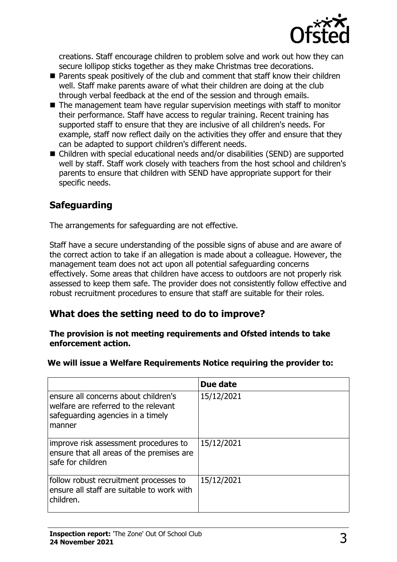

creations. Staff encourage children to problem solve and work out how they can secure lollipop sticks together as they make Christmas tree decorations.

- $\blacksquare$  Parents speak positively of the club and comment that staff know their children well. Staff make parents aware of what their children are doing at the club through verbal feedback at the end of the session and through emails.
- $\blacksquare$  The management team have regular supervision meetings with staff to monitor their performance. Staff have access to regular training. Recent training has supported staff to ensure that they are inclusive of all children's needs. For example, staff now reflect daily on the activities they offer and ensure that they can be adapted to support children's different needs.
- Children with special educational needs and/or disabilities (SEND) are supported well by staff. Staff work closely with teachers from the host school and children's parents to ensure that children with SEND have appropriate support for their specific needs.

## **Safeguarding**

The arrangements for safeguarding are not effective.

Staff have a secure understanding of the possible signs of abuse and are aware of the correct action to take if an allegation is made about a colleague. However, the management team does not act upon all potential safeguarding concerns effectively. Some areas that children have access to outdoors are not properly risk assessed to keep them safe. The provider does not consistently follow effective and robust recruitment procedures to ensure that staff are suitable for their roles.

## **What does the setting need to do to improve?**

**The provision is not meeting requirements and Ofsted intends to take enforcement action.**

#### **We will issue a Welfare Requirements Notice requiring the provider to:**

|                                                                                                                             | Due date   |
|-----------------------------------------------------------------------------------------------------------------------------|------------|
| ensure all concerns about children's<br>welfare are referred to the relevant<br>safeguarding agencies in a timely<br>manner | 15/12/2021 |
| improve risk assessment procedures to<br>ensure that all areas of the premises are<br>safe for children                     | 15/12/2021 |
| follow robust recruitment processes to<br>ensure all staff are suitable to work with<br>children.                           | 15/12/2021 |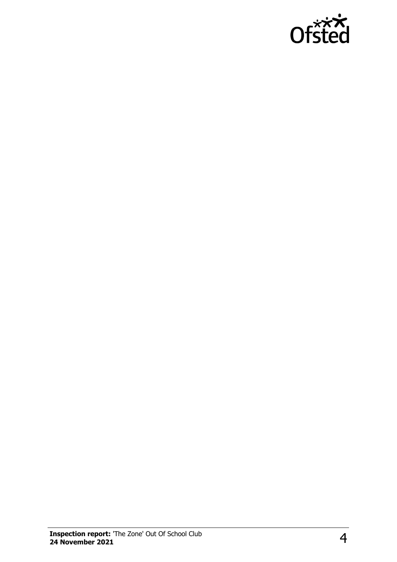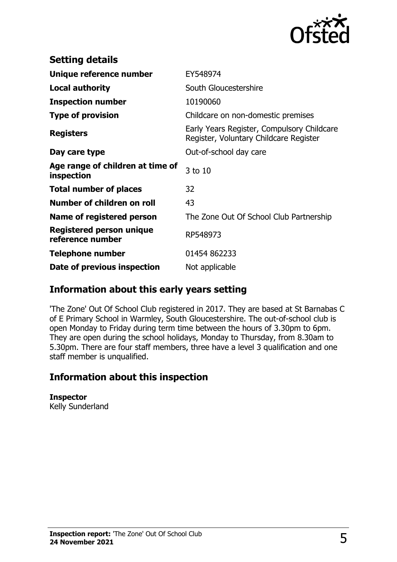

| <b>Setting details</b>                         |                                                                                      |
|------------------------------------------------|--------------------------------------------------------------------------------------|
| Unique reference number                        | EY548974                                                                             |
| <b>Local authority</b>                         | South Gloucestershire                                                                |
| <b>Inspection number</b>                       | 10190060                                                                             |
| <b>Type of provision</b>                       | Childcare on non-domestic premises                                                   |
| <b>Registers</b>                               | Early Years Register, Compulsory Childcare<br>Register, Voluntary Childcare Register |
| Day care type                                  | Out-of-school day care                                                               |
| Age range of children at time of<br>inspection | 3 to 10                                                                              |
| <b>Total number of places</b>                  | 32                                                                                   |
| Number of children on roll                     | 43                                                                                   |
| Name of registered person                      | The Zone Out Of School Club Partnership                                              |
| Registered person unique<br>reference number   | RP548973                                                                             |
| <b>Telephone number</b>                        | 01454 862233                                                                         |
| Date of previous inspection                    | Not applicable                                                                       |

## **Information about this early years setting**

'The Zone' Out Of School Club registered in 2017. They are based at St Barnabas C of E Primary School in Warmley, South Gloucestershire. The out-of-school club is open Monday to Friday during term time between the hours of 3.30pm to 6pm. They are open during the school holidays, Monday to Thursday, from 8.30am to 5.30pm. There are four staff members, three have a level 3 qualification and one staff member is unqualified.

## **Information about this inspection**

**Inspector** Kelly Sunderland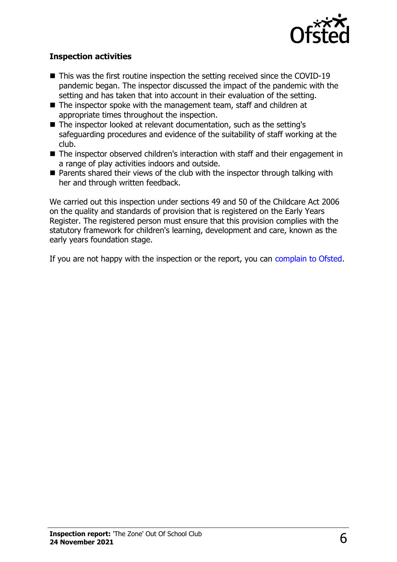

#### **Inspection activities**

- $\blacksquare$  This was the first routine inspection the setting received since the COVID-19 pandemic began. The inspector discussed the impact of the pandemic with the setting and has taken that into account in their evaluation of the setting.
- The inspector spoke with the management team, staff and children at appropriate times throughout the inspection.
- The inspector looked at relevant documentation, such as the setting's safeguarding procedures and evidence of the suitability of staff working at the club.
- The inspector observed children's interaction with staff and their engagement in a range of play activities indoors and outside.
- $\blacksquare$  Parents shared their views of the club with the inspector through talking with her and through written feedback.

We carried out this inspection under sections 49 and 50 of the Childcare Act 2006 on the quality and standards of provision that is registered on the Early Years Register. The registered person must ensure that this provision complies with the statutory framework for children's learning, development and care, known as the early years foundation stage.

If you are not happy with the inspection or the report, you can [complain to Ofsted](http://www.gov.uk/complain-ofsted-report).